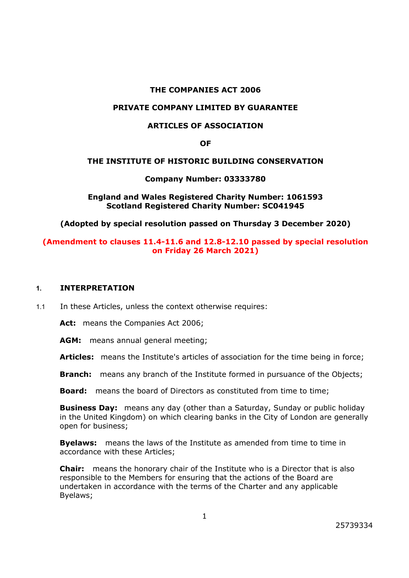### **THE COMPANIES ACT 2006**

#### **PRIVATE COMPANY LIMITED BY GUARANTEE**

### **ARTICLES OF ASSOCIATION**

**OF**

#### **THE INSTITUTE OF HISTORIC BUILDING CONSERVATION**

#### **Company Number: 03333780**

**England and Wales Registered Charity Number: 1061593 Scotland Registered Charity Number: SC041945**

**(Adopted by special resolution passed on Thursday 3 December 2020)**

### **(Amendment to clauses 11.4-11.6 and 12.8-12.10 passed by special resolution on Friday 26 March 2021)**

#### **1. INTERPRETATION**

1.1 In these Articles, unless the context otherwise requires:

Act: means the Companies Act 2006:

AGM: means annual general meeting;

**Articles:** means the Institute's articles of association for the time being in force;

**Branch:** means any branch of the Institute formed in pursuance of the Objects;

**Board:** means the board of Directors as constituted from time to time;

**Business Day:** means any day (other than a Saturday, Sunday or public holiday in the United Kingdom) on which clearing banks in the City of London are generally open for business;

**Byelaws:** means the laws of the Institute as amended from time to time in accordance with these Articles;

**Chair:** means the honorary chair of the Institute who is a Director that is also responsible to the Members for ensuring that the actions of the Board are undertaken in accordance with the terms of the Charter and any applicable Byelaws;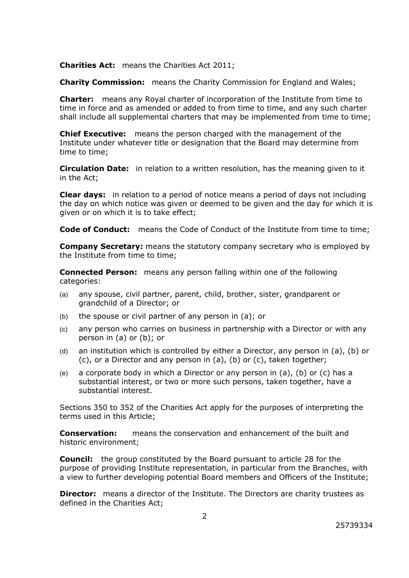**Charities Act:** means the Charities Act 2011;

**Charity Commission:** means the Charity Commission for England and Wales;

**Charter:** means any Royal charter of incorporation of the Institute from time to time in force and as amended or added to from time to time, and any such charter shall include all supplemental charters that may be implemented from time to time;

**Chief Executive:** means the person charged with the management of the Institute under whatever title or designation that the Board may determine from time to time;

**Circulation Date:** in relation to a written resolution, has the meaning given to it in the Act;

**Clear days:** in relation to a period of notice means a period of days not including the day on which notice was given or deemed to be given and the day for which it is given or on which it is to take effect;

**Code of Conduct:** means the Code of Conduct of the Institute from time to time;

**Company Secretary:** means the statutory company secretary who is employed by the Institute from time to time;

**Connected Person:** means any person falling within one of the following categories:

- (a) any spouse, civil partner, parent, child, brother, sister, grandparent or grandchild of a Director; or
- (b) the spouse or civil partner of any person in (a); or
- (c) any person who carries on business in partnership with a Director or with any person in (a) or (b); or
- (d) an institution which is controlled by either a Director, any person in (a), (b) or (c), or a Director and any person in (a), (b) or (c), taken together;
- (e) a corporate body in which a Director or any person in (a), (b) or (c) has a substantial interest, or two or more such persons, taken together, have a substantial interest.

Sections 350 to 352 of the Charities Act apply for the purposes of interpreting the terms used in this Article;

**Conservation:** means the conservation and enhancement of the built and historic environment;

**Council:** the group constituted by the Board pursuant to article 28 for the purpose of providing Institute representation, in particular from the Branches, with a view to further developing potential Board members and Officers of the Institute;

**Director:** means a director of the Institute. The Directors are charity trustees as defined in the Charities Act;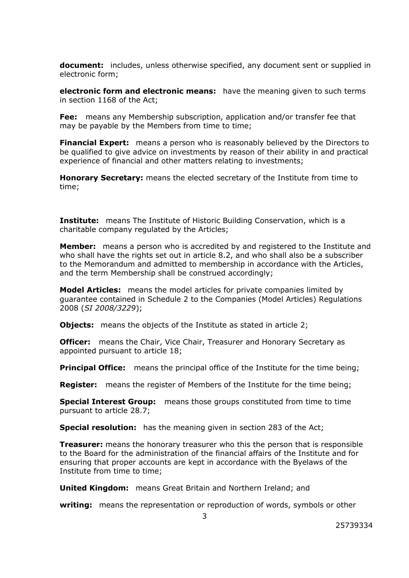**document:** includes, unless otherwise specified, any document sent or supplied in electronic form;

**electronic form and electronic means:** have the meaning given to such terms in section 1168 of the Act;

**Fee:** means any Membership subscription, application and/or transfer fee that may be payable by the Members from time to time;

**Financial Expert:** means a person who is reasonably believed by the Directors to be qualified to give advice on investments by reason of their ability in and practical experience of financial and other matters relating to investments;

**Honorary Secretary:** means the elected secretary of the Institute from time to time;

**Institute:** means The Institute of Historic Building Conservation, which is a charitable company regulated by the Articles;

**Member:** means a person who is accredited by and registered to the Institute and who shall have the rights set out in article 8.2, and who shall also be a subscriber to the Memorandum and admitted to membership in accordance with the Articles, and the term Membership shall be construed accordingly;

**Model Articles:** means the model articles for private companies limited by guarantee contained in Schedule 2 to the Companies (Model Articles) Regulations 2008 (*SI 2008/3229*);

**Objects:** means the objects of the Institute as stated in article 2;

**Officer:** means the Chair, Vice Chair, Treasurer and Honorary Secretary as appointed pursuant to article 18;

**Principal Office:** means the principal office of the Institute for the time being;

**Register:** means the register of Members of the Institute for the time being;

**Special Interest Group:** means those groups constituted from time to time pursuant to article 28.7;

**Special resolution:** has the meaning given in section 283 of the Act;

**Treasurer:** means the honorary treasurer who this the person that is responsible to the Board for the administration of the financial affairs of the Institute and for ensuring that proper accounts are kept in accordance with the Byelaws of the Institute from time to time;

**United Kingdom:** means Great Britain and Northern Ireland; and

**writing:** means the representation or reproduction of words, symbols or other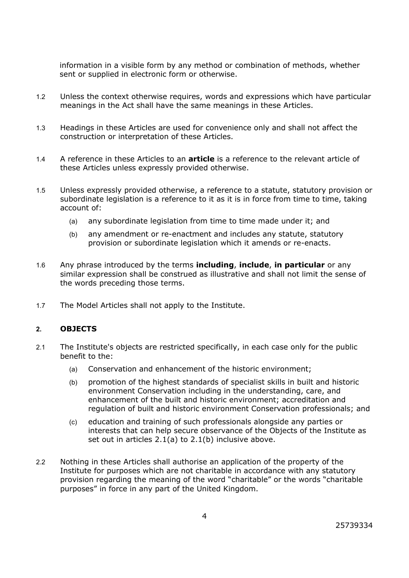information in a visible form by any method or combination of methods, whether sent or supplied in electronic form or otherwise.

- 1.2 Unless the context otherwise requires, words and expressions which have particular meanings in the Act shall have the same meanings in these Articles.
- 1.3 Headings in these Articles are used for convenience only and shall not affect the construction or interpretation of these Articles.
- 1.4 A reference in these Articles to an **article** is a reference to the relevant article of these Articles unless expressly provided otherwise.
- 1.5 Unless expressly provided otherwise, a reference to a statute, statutory provision or subordinate legislation is a reference to it as it is in force from time to time, taking account of:
	- (a) any subordinate legislation from time to time made under it; and
	- (b) any amendment or re-enactment and includes any statute, statutory provision or subordinate legislation which it amends or re-enacts.
- 1.6 Any phrase introduced by the terms **including**, **include**, **in particular** or any similar expression shall be construed as illustrative and shall not limit the sense of the words preceding those terms.
- 1.7 The Model Articles shall not apply to the Institute.

### **2. OBJECTS**

- 2.1 The Institute's objects are restricted specifically, in each case only for the public benefit to the:
	- (a) Conservation and enhancement of the historic environment;
	- (b) promotion of the highest standards of specialist skills in built and historic environment Conservation including in the understanding, care, and enhancement of the built and historic environment; accreditation and regulation of built and historic environment Conservation professionals; and
	- (c) education and training of such professionals alongside any parties or interests that can help secure observance of the Objects of the Institute as set out in articles 2.1(a) to 2.1(b) inclusive above.
- 2.2 Nothing in these Articles shall authorise an application of the property of the Institute for purposes which are not charitable in accordance with any statutory provision regarding the meaning of the word "charitable" or the words "charitable purposes" in force in any part of the United Kingdom.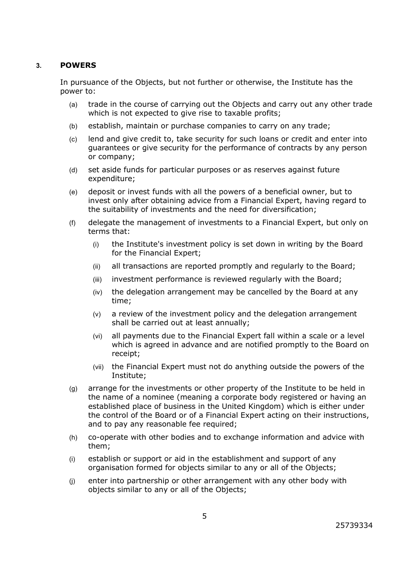### **3. POWERS**

In pursuance of the Objects, but not further or otherwise, the Institute has the power to:

- (a) trade in the course of carrying out the Objects and carry out any other trade which is not expected to give rise to taxable profits;
- (b) establish, maintain or purchase companies to carry on any trade;
- (c) lend and give credit to, take security for such loans or credit and enter into guarantees or give security for the performance of contracts by any person or company;
- (d) set aside funds for particular purposes or as reserves against future expenditure;
- (e) deposit or invest funds with all the powers of a beneficial owner, but to invest only after obtaining advice from a Financial Expert, having regard to the suitability of investments and the need for diversification;
- (f) delegate the management of investments to a Financial Expert, but only on terms that:
	- (i) the Institute's investment policy is set down in writing by the Board for the Financial Expert;
	- (ii) all transactions are reported promptly and regularly to the Board;
	- (iii) investment performance is reviewed regularly with the Board;
	- (iv) the delegation arrangement may be cancelled by the Board at any time;
	- (v) a review of the investment policy and the delegation arrangement shall be carried out at least annually;
	- (vi) all payments due to the Financial Expert fall within a scale or a level which is agreed in advance and are notified promptly to the Board on receipt;
	- (vii) the Financial Expert must not do anything outside the powers of the Institute;
- (g) arrange for the investments or other property of the Institute to be held in the name of a nominee (meaning a corporate body registered or having an established place of business in the United Kingdom) which is either under the control of the Board or of a Financial Expert acting on their instructions, and to pay any reasonable fee required;
- (h) co-operate with other bodies and to exchange information and advice with them;
- (i) establish or support or aid in the establishment and support of any organisation formed for objects similar to any or all of the Objects;
- (j) enter into partnership or other arrangement with any other body with objects similar to any or all of the Objects;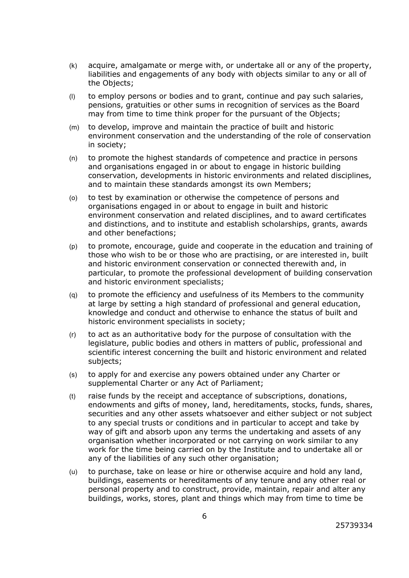- (k) acquire, amalgamate or merge with, or undertake all or any of the property, liabilities and engagements of any body with objects similar to any or all of the Objects;
- (l) to employ persons or bodies and to grant, continue and pay such salaries, pensions, gratuities or other sums in recognition of services as the Board may from time to time think proper for the pursuant of the Objects;
- (m) to develop, improve and maintain the practice of built and historic environment conservation and the understanding of the role of conservation in society;
- (n) to promote the highest standards of competence and practice in persons and organisations engaged in or about to engage in historic building conservation, developments in historic environments and related disciplines, and to maintain these standards amongst its own Members;
- (o) to test by examination or otherwise the competence of persons and organisations engaged in or about to engage in built and historic environment conservation and related disciplines, and to award certificates and distinctions, and to institute and establish scholarships, grants, awards and other benefactions;
- (p) to promote, encourage, guide and cooperate in the education and training of those who wish to be or those who are practising, or are interested in, built and historic environment conservation or connected therewith and, in particular, to promote the professional development of building conservation and historic environment specialists;
- (q) to promote the efficiency and usefulness of its Members to the community at large by setting a high standard of professional and general education, knowledge and conduct and otherwise to enhance the status of built and historic environment specialists in society;
- (r) to act as an authoritative body for the purpose of consultation with the legislature, public bodies and others in matters of public, professional and scientific interest concerning the built and historic environment and related subjects;
- (s) to apply for and exercise any powers obtained under any Charter or supplemental Charter or any Act of Parliament;
- (t) raise funds by the receipt and acceptance of subscriptions, donations, endowments and gifts of money, land, hereditaments, stocks, funds, shares, securities and any other assets whatsoever and either subject or not subject to any special trusts or conditions and in particular to accept and take by way of gift and absorb upon any terms the undertaking and assets of any organisation whether incorporated or not carrying on work similar to any work for the time being carried on by the Institute and to undertake all or any of the liabilities of any such other organisation;
- (u) to purchase, take on lease or hire or otherwise acquire and hold any land, buildings, easements or hereditaments of any tenure and any other real or personal property and to construct, provide, maintain, repair and alter any buildings, works, stores, plant and things which may from time to time be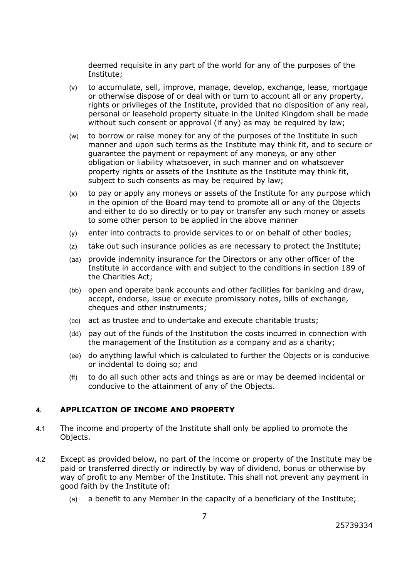deemed requisite in any part of the world for any of the purposes of the Institute;

- (v) to accumulate, sell, improve, manage, develop, exchange, lease, mortgage or otherwise dispose of or deal with or turn to account all or any property, rights or privileges of the Institute, provided that no disposition of any real, personal or leasehold property situate in the United Kingdom shall be made without such consent or approval (if any) as may be required by law;
- (w) to borrow or raise money for any of the purposes of the Institute in such manner and upon such terms as the Institute may think fit, and to secure or guarantee the payment or repayment of any moneys, or any other obligation or liability whatsoever, in such manner and on whatsoever property rights or assets of the Institute as the Institute may think fit, subject to such consents as may be required by law;
- (x) to pay or apply any moneys or assets of the Institute for any purpose which in the opinion of the Board may tend to promote all or any of the Objects and either to do so directly or to pay or transfer any such money or assets to some other person to be applied in the above manner
- (y) enter into contracts to provide services to or on behalf of other bodies;
- (z) take out such insurance policies as are necessary to protect the Institute;
- (aa) provide indemnity insurance for the Directors or any other officer of the Institute in accordance with and subject to the conditions in section 189 of the Charities Act;
- (bb) open and operate bank accounts and other facilities for banking and draw, accept, endorse, issue or execute promissory notes, bills of exchange, cheques and other instruments;
- (cc) act as trustee and to undertake and execute charitable trusts;
- (dd) pay out of the funds of the Institution the costs incurred in connection with the management of the Institution as a company and as a charity;
- (ee) do anything lawful which is calculated to further the Objects or is conducive or incidental to doing so; and
- (ff) to do all such other acts and things as are or may be deemed incidental or conducive to the attainment of any of the Objects.

# **4. APPLICATION OF INCOME AND PROPERTY**

- 4.1 The income and property of the Institute shall only be applied to promote the Objects.
- 4.2 Except as provided below, no part of the income or property of the Institute may be paid or transferred directly or indirectly by way of dividend, bonus or otherwise by way of profit to any Member of the Institute. This shall not prevent any payment in good faith by the Institute of:
	- (a) a benefit to any Member in the capacity of a beneficiary of the Institute;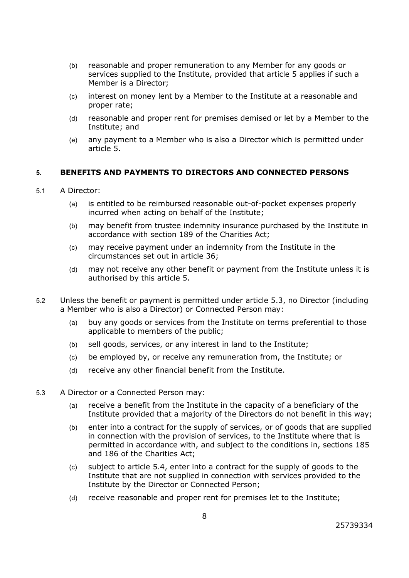- (b) reasonable and proper remuneration to any Member for any goods or services supplied to the Institute, provided that article 5 applies if such a Member is a Director;
- (c) interest on money lent by a Member to the Institute at a reasonable and proper rate;
- (d) reasonable and proper rent for premises demised or let by a Member to the Institute; and
- (e) any payment to a Member who is also a Director which is permitted under article 5.

### **5. BENEFITS AND PAYMENTS TO DIRECTORS AND CONNECTED PERSONS**

#### 5.1 A Director:

- (a) is entitled to be reimbursed reasonable out-of-pocket expenses properly incurred when acting on behalf of the Institute;
- (b) may benefit from trustee indemnity insurance purchased by the Institute in accordance with section 189 of the Charities Act;
- (c) may receive payment under an indemnity from the Institute in the circumstances set out in article 36;
- (d) may not receive any other benefit or payment from the Institute unless it is authorised by this article 5.
- 5.2 Unless the benefit or payment is permitted under article 5.3, no Director (including a Member who is also a Director) or Connected Person may:
	- (a) buy any goods or services from the Institute on terms preferential to those applicable to members of the public;
	- (b) sell goods, services, or any interest in land to the Institute;
	- (c) be employed by, or receive any remuneration from, the Institute; or
	- (d) receive any other financial benefit from the Institute.
- 5.3 A Director or a Connected Person may:
	- (a) receive a benefit from the Institute in the capacity of a beneficiary of the Institute provided that a majority of the Directors do not benefit in this way;
	- (b) enter into a contract for the supply of services, or of goods that are supplied in connection with the provision of services, to the Institute where that is permitted in accordance with, and subject to the conditions in, sections 185 and 186 of the Charities Act;
	- (c) subject to article 5.4, enter into a contract for the supply of goods to the Institute that are not supplied in connection with services provided to the Institute by the Director or Connected Person;
	- (d) receive reasonable and proper rent for premises let to the Institute;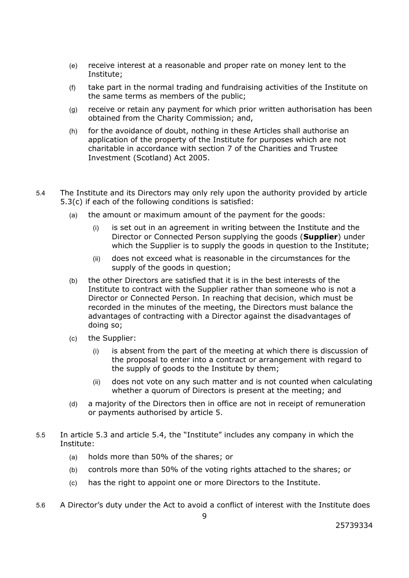- (e) receive interest at a reasonable and proper rate on money lent to the Institute;
- (f) take part in the normal trading and fundraising activities of the Institute on the same terms as members of the public;
- (g) receive or retain any payment for which prior written authorisation has been obtained from the Charity Commission; and,
- (h) for the avoidance of doubt, nothing in these Articles shall authorise an application of the property of the Institute for purposes which are not charitable in accordance with section 7 of the Charities and Trustee Investment (Scotland) Act 2005.
- 5.4 The Institute and its Directors may only rely upon the authority provided by article 5.3(c) if each of the following conditions is satisfied:
	- (a) the amount or maximum amount of the payment for the goods:
		- (i) is set out in an agreement in writing between the Institute and the Director or Connected Person supplying the goods (**Supplier**) under which the Supplier is to supply the goods in question to the Institute;
		- (ii) does not exceed what is reasonable in the circumstances for the supply of the goods in question;
	- (b) the other Directors are satisfied that it is in the best interests of the Institute to contract with the Supplier rather than someone who is not a Director or Connected Person. In reaching that decision, which must be recorded in the minutes of the meeting, the Directors must balance the advantages of contracting with a Director against the disadvantages of doing so;
	- (c) the Supplier:
		- (i) is absent from the part of the meeting at which there is discussion of the proposal to enter into a contract or arrangement with regard to the supply of goods to the Institute by them;
		- (ii) does not vote on any such matter and is not counted when calculating whether a quorum of Directors is present at the meeting; and
	- (d) a majority of the Directors then in office are not in receipt of remuneration or payments authorised by article 5.
- 5.5 In article 5.3 and article 5.4, the "Institute" includes any company in which the Institute:
	- (a) holds more than 50% of the shares; or
	- (b) controls more than 50% of the voting rights attached to the shares; or
	- (c) has the right to appoint one or more Directors to the Institute.
- 5.6 A Director's duty under the Act to avoid a conflict of interest with the Institute does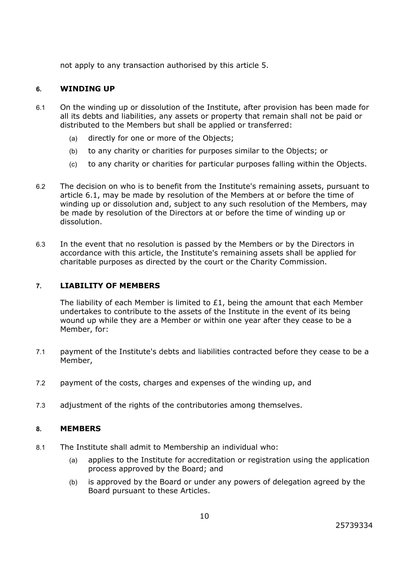not apply to any transaction authorised by this article 5.

### **6. WINDING UP**

- 6.1 On the winding up or dissolution of the Institute, after provision has been made for all its debts and liabilities, any assets or property that remain shall not be paid or distributed to the Members but shall be applied or transferred:
	- (a) directly for one or more of the Objects;
	- (b) to any charity or charities for purposes similar to the Objects; or
	- (c) to any charity or charities for particular purposes falling within the Objects.
- 6.2 The decision on who is to benefit from the Institute's remaining assets, pursuant to article 6.1, may be made by resolution of the Members at or before the time of winding up or dissolution and, subject to any such resolution of the Members, may be made by resolution of the Directors at or before the time of winding up or dissolution.
- 6.3 In the event that no resolution is passed by the Members or by the Directors in accordance with this article, the Institute's remaining assets shall be applied for charitable purposes as directed by the court or the Charity Commission.

### **7. LIABILITY OF MEMBERS**

The liability of each Member is limited to  $£1$ , being the amount that each Member undertakes to contribute to the assets of the Institute in the event of its being wound up while they are a Member or within one year after they cease to be a Member, for:

- 7.1 payment of the Institute's debts and liabilities contracted before they cease to be a Member,
- 7.2 payment of the costs, charges and expenses of the winding up, and
- 7.3 adjustment of the rights of the contributories among themselves.

### **8. MEMBERS**

- 8.1 The Institute shall admit to Membership an individual who:
	- (a) applies to the Institute for accreditation or registration using the application process approved by the Board; and
	- (b) is approved by the Board or under any powers of delegation agreed by the Board pursuant to these Articles.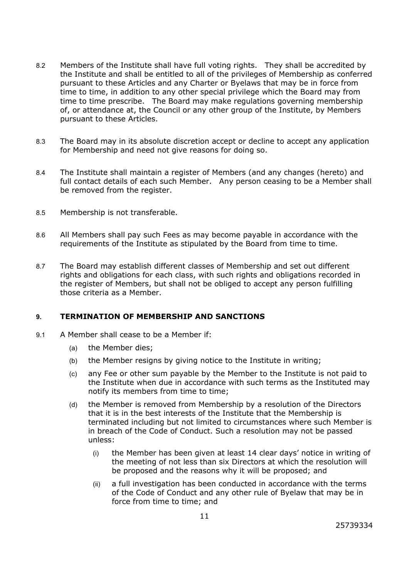- 8.2 Members of the Institute shall have full voting rights. They shall be accredited by the Institute and shall be entitled to all of the privileges of Membership as conferred pursuant to these Articles and any Charter or Byelaws that may be in force from time to time, in addition to any other special privilege which the Board may from time to time prescribe. The Board may make regulations governing membership of, or attendance at, the Council or any other group of the Institute, by Members pursuant to these Articles.
- 8.3 The Board may in its absolute discretion accept or decline to accept any application for Membership and need not give reasons for doing so.
- 8.4 The Institute shall maintain a register of Members (and any changes (hereto) and full contact details of each such Member. Any person ceasing to be a Member shall be removed from the register.
- 8.5 Membership is not transferable.
- 8.6 All Members shall pay such Fees as may become payable in accordance with the requirements of the Institute as stipulated by the Board from time to time.
- 8.7 The Board may establish different classes of Membership and set out different rights and obligations for each class, with such rights and obligations recorded in the register of Members, but shall not be obliged to accept any person fulfilling those criteria as a Member.

### **9. TERMINATION OF MEMBERSHIP AND SANCTIONS**

- 9.1 A Member shall cease to be a Member if:
	- (a) the Member dies;
	- (b) the Member resigns by giving notice to the Institute in writing;
	- (c) any Fee or other sum payable by the Member to the Institute is not paid to the Institute when due in accordance with such terms as the Instituted may notify its members from time to time;
	- (d) the Member is removed from Membership by a resolution of the Directors that it is in the best interests of the Institute that the Membership is terminated including but not limited to circumstances where such Member is in breach of the Code of Conduct. Such a resolution may not be passed unless:
		- (i) the Member has been given at least 14 clear days' notice in writing of the meeting of not less than six Directors at which the resolution will be proposed and the reasons why it will be proposed; and
		- (ii) a full investigation has been conducted in accordance with the terms of the Code of Conduct and any other rule of Byelaw that may be in force from time to time; and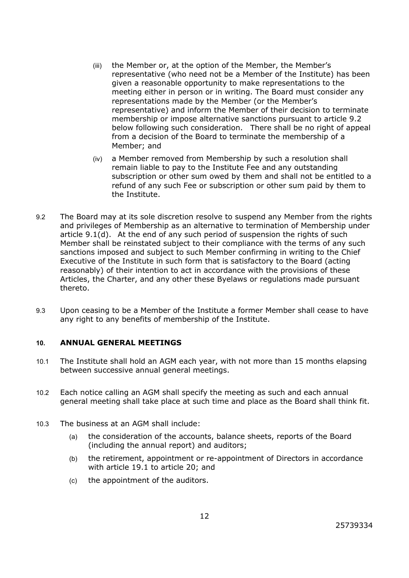- (iii) the Member or, at the option of the Member, the Member's representative (who need not be a Member of the Institute) has been given a reasonable opportunity to make representations to the meeting either in person or in writing. The Board must consider any representations made by the Member (or the Member's representative) and inform the Member of their decision to terminate membership or impose alternative sanctions pursuant to article 9.2 below following such consideration. There shall be no right of appeal from a decision of the Board to terminate the membership of a Member; and
- (iv) a Member removed from Membership by such a resolution shall remain liable to pay to the Institute Fee and any outstanding subscription or other sum owed by them and shall not be entitled to a refund of any such Fee or subscription or other sum paid by them to the Institute.
- 9.2 The Board may at its sole discretion resolve to suspend any Member from the rights and privileges of Membership as an alternative to termination of Membership under article 9.1(d). At the end of any such period of suspension the rights of such Member shall be reinstated subject to their compliance with the terms of any such sanctions imposed and subject to such Member confirming in writing to the Chief Executive of the Institute in such form that is satisfactory to the Board (acting reasonably) of their intention to act in accordance with the provisions of these Articles, the Charter, and any other these Byelaws or regulations made pursuant thereto.
- 9.3 Upon ceasing to be a Member of the Institute a former Member shall cease to have any right to any benefits of membership of the Institute.

### **10. ANNUAL GENERAL MEETINGS**

- 10.1 The Institute shall hold an AGM each year, with not more than 15 months elapsing between successive annual general meetings.
- 10.2 Each notice calling an AGM shall specify the meeting as such and each annual general meeting shall take place at such time and place as the Board shall think fit.
- 10.3 The business at an AGM shall include:
	- (a) the consideration of the accounts, balance sheets, reports of the Board (including the annual report) and auditors;
	- (b) the retirement, appointment or re-appointment of Directors in accordance with article 19.1 to article 20; and
	- (c) the appointment of the auditors.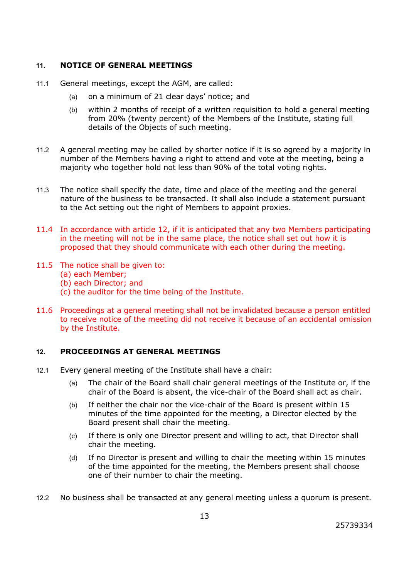### **11. NOTICE OF GENERAL MEETINGS**

- 11.1 General meetings, except the AGM, are called:
	- (a) on a minimum of 21 clear days' notice; and
	- (b) within 2 months of receipt of a written requisition to hold a general meeting from 20% (twenty percent) of the Members of the Institute, stating full details of the Objects of such meeting.
- 11.2 A general meeting may be called by shorter notice if it is so agreed by a majority in number of the Members having a right to attend and vote at the meeting, being a majority who together hold not less than 90% of the total voting rights.
- 11.3 The notice shall specify the date, time and place of the meeting and the general nature of the business to be transacted. It shall also include a statement pursuant to the Act setting out the right of Members to appoint proxies.
- 11.4 In accordance with article 12, if it is anticipated that any two Members participating in the meeting will not be in the same place, the notice shall set out how it is proposed that they should communicate with each other during the meeting.
- 11.5 The notice shall be given to:
	- (a) each Member;
	- (b) each Director; and
	- (c) the auditor for the time being of the Institute.
- 11.6 Proceedings at a general meeting shall not be invalidated because a person entitled to receive notice of the meeting did not receive it because of an accidental omission by the Institute.

# **12. PROCEEDINGS AT GENERAL MEETINGS**

- 12.1 Every general meeting of the Institute shall have a chair:
	- (a) The chair of the Board shall chair general meetings of the Institute or, if the chair of the Board is absent, the vice-chair of the Board shall act as chair.
	- (b) If neither the chair nor the vice-chair of the Board is present within 15 minutes of the time appointed for the meeting, a Director elected by the Board present shall chair the meeting.
	- (c) If there is only one Director present and willing to act, that Director shall chair the meeting.
	- (d) If no Director is present and willing to chair the meeting within 15 minutes of the time appointed for the meeting, the Members present shall choose one of their number to chair the meeting.
- 12.2 No business shall be transacted at any general meeting unless a quorum is present.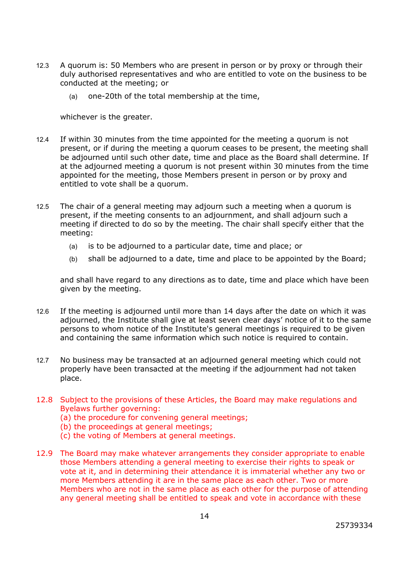- 12.3 A quorum is: 50 Members who are present in person or by proxy or through their duly authorised representatives and who are entitled to vote on the business to be conducted at the meeting; or
	- (a) one-20th of the total membership at the time,

whichever is the greater.

- 12.4 If within 30 minutes from the time appointed for the meeting a quorum is not present, or if during the meeting a quorum ceases to be present, the meeting shall be adjourned until such other date, time and place as the Board shall determine. If at the adjourned meeting a quorum is not present within 30 minutes from the time appointed for the meeting, those Members present in person or by proxy and entitled to vote shall be a quorum.
- 12.5 The chair of a general meeting may adjourn such a meeting when a quorum is present, if the meeting consents to an adjournment, and shall adjourn such a meeting if directed to do so by the meeting. The chair shall specify either that the meeting:
	- (a) is to be adjourned to a particular date, time and place; or
	- (b) shall be adjourned to a date, time and place to be appointed by the Board;

and shall have regard to any directions as to date, time and place which have been given by the meeting.

- 12.6 If the meeting is adjourned until more than 14 days after the date on which it was adjourned, the Institute shall give at least seven clear days' notice of it to the same persons to whom notice of the Institute's general meetings is required to be given and containing the same information which such notice is required to contain.
- 12.7 No business may be transacted at an adjourned general meeting which could not properly have been transacted at the meeting if the adjournment had not taken place.
- 12.8 Subject to the provisions of these Articles, the Board may make regulations and Byelaws further governing:
	- (a) the procedure for convening general meetings;
	- (b) the proceedings at general meetings;
	- (c) the voting of Members at general meetings.
- 12.9 The Board may make whatever arrangements they consider appropriate to enable those Members attending a general meeting to exercise their rights to speak or vote at it, and in determining their attendance it is immaterial whether any two or more Members attending it are in the same place as each other. Two or more Members who are not in the same place as each other for the purpose of attending any general meeting shall be entitled to speak and vote in accordance with these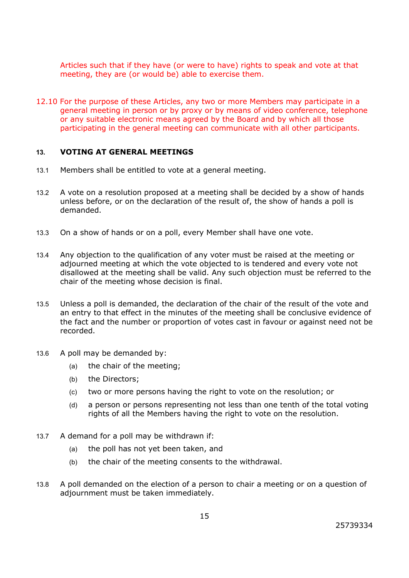Articles such that if they have (or were to have) rights to speak and vote at that meeting, they are (or would be) able to exercise them.

12.10 For the purpose of these Articles, any two or more Members may participate in a general meeting in person or by proxy or by means of video conference, telephone or any suitable electronic means agreed by the Board and by which all those participating in the general meeting can communicate with all other participants.

#### **13. VOTING AT GENERAL MEETINGS**

- 13.1 Members shall be entitled to vote at a general meeting.
- 13.2 A vote on a resolution proposed at a meeting shall be decided by a show of hands unless before, or on the declaration of the result of, the show of hands a poll is demanded.
- 13.3 On a show of hands or on a poll, every Member shall have one vote.
- 13.4 Any objection to the qualification of any voter must be raised at the meeting or adjourned meeting at which the vote objected to is tendered and every vote not disallowed at the meeting shall be valid. Any such objection must be referred to the chair of the meeting whose decision is final.
- 13.5 Unless a poll is demanded, the declaration of the chair of the result of the vote and an entry to that effect in the minutes of the meeting shall be conclusive evidence of the fact and the number or proportion of votes cast in favour or against need not be recorded.
- 13.6 A poll may be demanded by:
	- (a) the chair of the meeting;
	- (b) the Directors;
	- (c) two or more persons having the right to vote on the resolution; or
	- (d) a person or persons representing not less than one tenth of the total voting rights of all the Members having the right to vote on the resolution.
- 13.7 A demand for a poll may be withdrawn if:
	- (a) the poll has not yet been taken, and
	- (b) the chair of the meeting consents to the withdrawal.
- 13.8 A poll demanded on the election of a person to chair a meeting or on a question of adjournment must be taken immediately.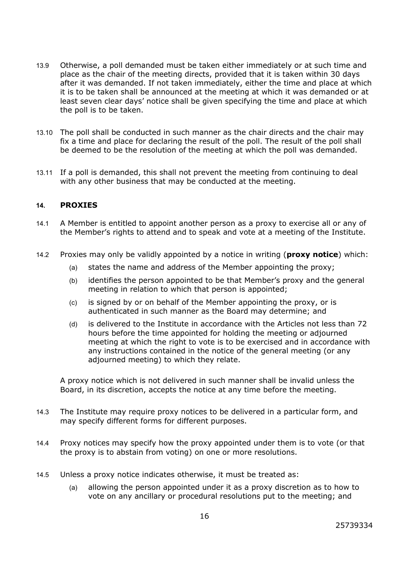- 13.9 Otherwise, a poll demanded must be taken either immediately or at such time and place as the chair of the meeting directs, provided that it is taken within 30 days after it was demanded. If not taken immediately, either the time and place at which it is to be taken shall be announced at the meeting at which it was demanded or at least seven clear days' notice shall be given specifying the time and place at which the poll is to be taken.
- 13.10 The poll shall be conducted in such manner as the chair directs and the chair may fix a time and place for declaring the result of the poll. The result of the poll shall be deemed to be the resolution of the meeting at which the poll was demanded.
- 13.11 If a poll is demanded, this shall not prevent the meeting from continuing to deal with any other business that may be conducted at the meeting.

### **14. PROXIES**

- 14.1 A Member is entitled to appoint another person as a proxy to exercise all or any of the Member's rights to attend and to speak and vote at a meeting of the Institute.
- 14.2 Proxies may only be validly appointed by a notice in writing (**proxy notice**) which:
	- (a) states the name and address of the Member appointing the proxy;
	- (b) identifies the person appointed to be that Member's proxy and the general meeting in relation to which that person is appointed;
	- (c) is signed by or on behalf of the Member appointing the proxy, or is authenticated in such manner as the Board may determine; and
	- (d) is delivered to the Institute in accordance with the Articles not less than 72 hours before the time appointed for holding the meeting or adjourned meeting at which the right to vote is to be exercised and in accordance with any instructions contained in the notice of the general meeting (or any adjourned meeting) to which they relate.

A proxy notice which is not delivered in such manner shall be invalid unless the Board, in its discretion, accepts the notice at any time before the meeting.

- 14.3 The Institute may require proxy notices to be delivered in a particular form, and may specify different forms for different purposes.
- 14.4 Proxy notices may specify how the proxy appointed under them is to vote (or that the proxy is to abstain from voting) on one or more resolutions.
- 14.5 Unless a proxy notice indicates otherwise, it must be treated as:
	- (a) allowing the person appointed under it as a proxy discretion as to how to vote on any ancillary or procedural resolutions put to the meeting; and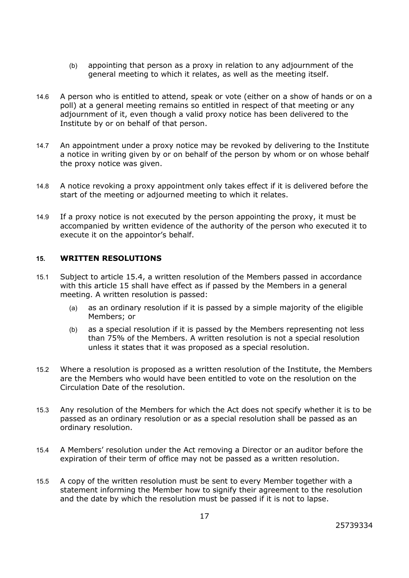- (b) appointing that person as a proxy in relation to any adjournment of the general meeting to which it relates, as well as the meeting itself.
- 14.6 A person who is entitled to attend, speak or vote (either on a show of hands or on a poll) at a general meeting remains so entitled in respect of that meeting or any adjournment of it, even though a valid proxy notice has been delivered to the Institute by or on behalf of that person.
- 14.7 An appointment under a proxy notice may be revoked by delivering to the Institute a notice in writing given by or on behalf of the person by whom or on whose behalf the proxy notice was given.
- 14.8 A notice revoking a proxy appointment only takes effect if it is delivered before the start of the meeting or adjourned meeting to which it relates.
- 14.9 If a proxy notice is not executed by the person appointing the proxy, it must be accompanied by written evidence of the authority of the person who executed it to execute it on the appointor's behalf.

### **15. WRITTEN RESOLUTIONS**

- 15.1 Subject to article 15.4, a written resolution of the Members passed in accordance with this article 15 shall have effect as if passed by the Members in a general meeting. A written resolution is passed:
	- (a) as an ordinary resolution if it is passed by a simple majority of the eligible Members; or
	- (b) as a special resolution if it is passed by the Members representing not less than 75% of the Members. A written resolution is not a special resolution unless it states that it was proposed as a special resolution.
- 15.2 Where a resolution is proposed as a written resolution of the Institute, the Members are the Members who would have been entitled to vote on the resolution on the Circulation Date of the resolution.
- 15.3 Any resolution of the Members for which the Act does not specify whether it is to be passed as an ordinary resolution or as a special resolution shall be passed as an ordinary resolution.
- 15.4 A Members' resolution under the Act removing a Director or an auditor before the expiration of their term of office may not be passed as a written resolution.
- 15.5 A copy of the written resolution must be sent to every Member together with a statement informing the Member how to signify their agreement to the resolution and the date by which the resolution must be passed if it is not to lapse.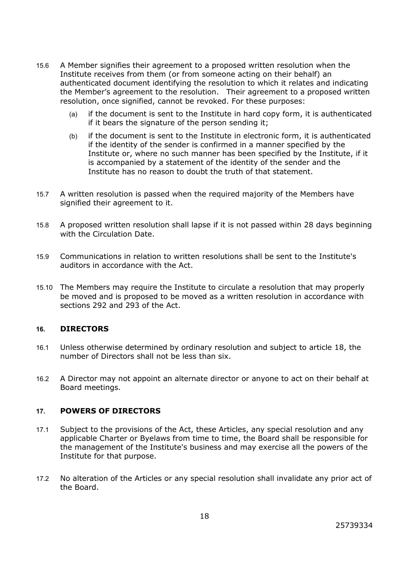- 15.6 A Member signifies their agreement to a proposed written resolution when the Institute receives from them (or from someone acting on their behalf) an authenticated document identifying the resolution to which it relates and indicating the Member's agreement to the resolution. Their agreement to a proposed written resolution, once signified, cannot be revoked. For these purposes:
	- (a) if the document is sent to the Institute in hard copy form, it is authenticated if it bears the signature of the person sending it;
	- (b) if the document is sent to the Institute in electronic form, it is authenticated if the identity of the sender is confirmed in a manner specified by the Institute or, where no such manner has been specified by the Institute, if it is accompanied by a statement of the identity of the sender and the Institute has no reason to doubt the truth of that statement.
- 15.7 A written resolution is passed when the required majority of the Members have signified their agreement to it.
- 15.8 A proposed written resolution shall lapse if it is not passed within 28 days beginning with the Circulation Date.
- 15.9 Communications in relation to written resolutions shall be sent to the Institute's auditors in accordance with the Act.
- 15.10 The Members may require the Institute to circulate a resolution that may properly be moved and is proposed to be moved as a written resolution in accordance with sections 292 and 293 of the Act.

### **16. DIRECTORS**

- 16.1 Unless otherwise determined by ordinary resolution and subject to article 18, the number of Directors shall not be less than six.
- 16.2 A Director may not appoint an alternate director or anyone to act on their behalf at Board meetings.

### **17. POWERS OF DIRECTORS**

- 17.1 Subject to the provisions of the Act, these Articles, any special resolution and any applicable Charter or Byelaws from time to time, the Board shall be responsible for the management of the Institute's business and may exercise all the powers of the Institute for that purpose.
- 17.2 No alteration of the Articles or any special resolution shall invalidate any prior act of the Board.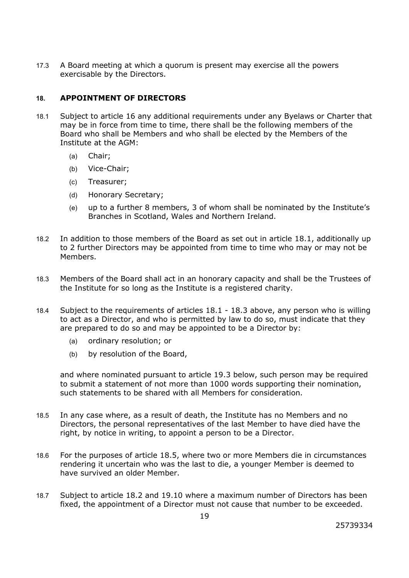17.3 A Board meeting at which a quorum is present may exercise all the powers exercisable by the Directors.

# **18. APPOINTMENT OF DIRECTORS**

- 18.1 Subject to article 16 any additional requirements under any Byelaws or Charter that may be in force from time to time, there shall be the following members of the Board who shall be Members and who shall be elected by the Members of the Institute at the AGM:
	- (a) Chair;
	- (b) Vice-Chair;
	- (c) Treasurer;
	- (d) Honorary Secretary;
	- (e) up to a further 8 members, 3 of whom shall be nominated by the Institute's Branches in Scotland, Wales and Northern Ireland.
- 18.2 In addition to those members of the Board as set out in article 18.1, additionally up to 2 further Directors may be appointed from time to time who may or may not be Members.
- 18.3 Members of the Board shall act in an honorary capacity and shall be the Trustees of the Institute for so long as the Institute is a registered charity.
- 18.4 Subject to the requirements of articles 18.1 18.3 above, any person who is willing to act as a Director, and who is permitted by law to do so, must indicate that they are prepared to do so and may be appointed to be a Director by:
	- (a) ordinary resolution; or
	- (b) by resolution of the Board,

and where nominated pursuant to article 19.3 below, such person may be required to submit a statement of not more than 1000 words supporting their nomination, such statements to be shared with all Members for consideration.

- 18.5 In any case where, as a result of death, the Institute has no Members and no Directors, the personal representatives of the last Member to have died have the right, by notice in writing, to appoint a person to be a Director.
- 18.6 For the purposes of article 18.5, where two or more Members die in circumstances rendering it uncertain who was the last to die, a younger Member is deemed to have survived an older Member.
- 18.7 Subject to article 18.2 and 19.10 where a maximum number of Directors has been fixed, the appointment of a Director must not cause that number to be exceeded.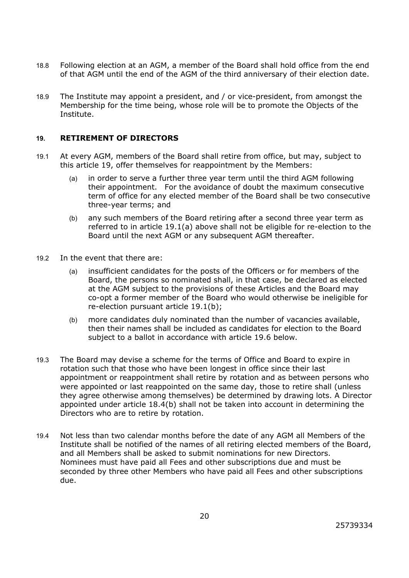- 18.8 Following election at an AGM, a member of the Board shall hold office from the end of that AGM until the end of the AGM of the third anniversary of their election date.
- 18.9 The Institute may appoint a president, and / or vice-president, from amongst the Membership for the time being, whose role will be to promote the Objects of the Institute.

### **19. RETIREMENT OF DIRECTORS**

- 19.1 At every AGM, members of the Board shall retire from office, but may, subject to this article 19, offer themselves for reappointment by the Members:
	- (a) in order to serve a further three year term until the third AGM following their appointment. For the avoidance of doubt the maximum consecutive term of office for any elected member of the Board shall be two consecutive three-year terms; and
	- (b) any such members of the Board retiring after a second three year term as referred to in article 19.1(a) above shall not be eligible for re-election to the Board until the next AGM or any subsequent AGM thereafter.
- 19.2 In the event that there are:
	- (a) insufficient candidates for the posts of the Officers or for members of the Board, the persons so nominated shall, in that case, be declared as elected at the AGM subject to the provisions of these Articles and the Board may co-opt a former member of the Board who would otherwise be ineligible for re-election pursuant article 19.1(b);
	- (b) more candidates duly nominated than the number of vacancies available, then their names shall be included as candidates for election to the Board subject to a ballot in accordance with article 19.6 below.
- 19.3 The Board may devise a scheme for the terms of Office and Board to expire in rotation such that those who have been longest in office since their last appointment or reappointment shall retire by rotation and as between persons who were appointed or last reappointed on the same day, those to retire shall (unless they agree otherwise among themselves) be determined by drawing lots. A Director appointed under article 18.4(b) shall not be taken into account in determining the Directors who are to retire by rotation.
- 19.4 Not less than two calendar months before the date of any AGM all Members of the Institute shall be notified of the names of all retiring elected members of the Board, and all Members shall be asked to submit nominations for new Directors. Nominees must have paid all Fees and other subscriptions due and must be seconded by three other Members who have paid all Fees and other subscriptions due.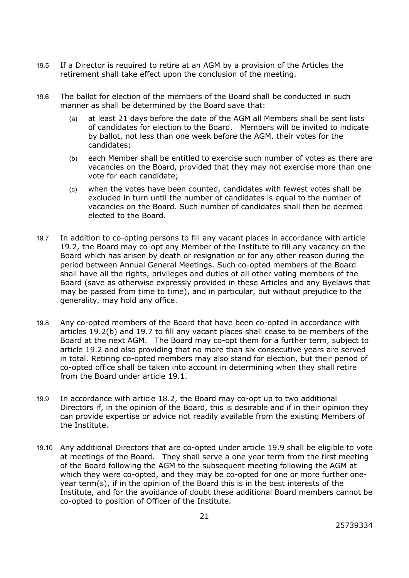- 19.5 If a Director is required to retire at an AGM by a provision of the Articles the retirement shall take effect upon the conclusion of the meeting.
- 19.6 The ballot for election of the members of the Board shall be conducted in such manner as shall be determined by the Board save that:
	- (a) at least 21 days before the date of the AGM all Members shall be sent lists of candidates for election to the Board. Members will be invited to indicate by ballot, not less than one week before the AGM, their votes for the candidates;
	- (b) each Member shall be entitled to exercise such number of votes as there are vacancies on the Board, provided that they may not exercise more than one vote for each candidate;
	- (c) when the votes have been counted, candidates with fewest votes shall be excluded in turn until the number of candidates is equal to the number of vacancies on the Board. Such number of candidates shall then be deemed elected to the Board.
- 19.7 In addition to co-opting persons to fill any vacant places in accordance with article 19.2, the Board may co-opt any Member of the Institute to fill any vacancy on the Board which has arisen by death or resignation or for any other reason during the period between Annual General Meetings. Such co-opted members of the Board shall have all the rights, privileges and duties of all other voting members of the Board (save as otherwise expressly provided in these Articles and any Byelaws that may be passed from time to time), and in particular, but without prejudice to the generality, may hold any office.
- 19.8 Any co-opted members of the Board that have been co-opted in accordance with articles 19.2(b) and 19.7 to fill any vacant places shall cease to be members of the Board at the next AGM. The Board may co-opt them for a further term, subject to article 19.2 and also providing that no more than six consecutive years are served in total. Retiring co-opted members may also stand for election, but their period of co-opted office shall be taken into account in determining when they shall retire from the Board under article 19.1.
- 19.9 In accordance with article 18.2, the Board may co-opt up to two additional Directors if, in the opinion of the Board, this is desirable and if in their opinion they can provide expertise or advice not readily available from the existing Members of the Institute.
- 19.10 Any additional Directors that are co-opted under article 19.9 shall be eligible to vote at meetings of the Board. They shall serve a one year term from the first meeting of the Board following the AGM to the subsequent meeting following the AGM at which they were co-opted, and they may be co-opted for one or more further oneyear term(s), if in the opinion of the Board this is in the best interests of the Institute, and for the avoidance of doubt these additional Board members cannot be co-opted to position of Officer of the Institute.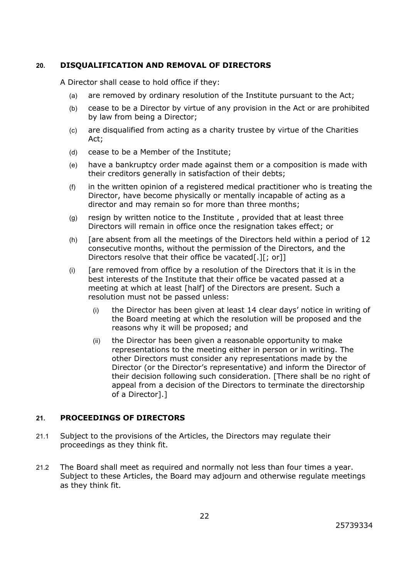# **20. DISQUALIFICATION AND REMOVAL OF DIRECTORS**

A Director shall cease to hold office if they:

- (a) are removed by ordinary resolution of the Institute pursuant to the Act;
- (b) cease to be a Director by virtue of any provision in the Act or are prohibited by law from being a Director;
- (c) are disqualified from acting as a charity trustee by virtue of the Charities Act;
- (d) cease to be a Member of the Institute;
- (e) have a bankruptcy order made against them or a composition is made with their creditors generally in satisfaction of their debts;
- (f) in the written opinion of a registered medical practitioner who is treating the Director, have become physically or mentally incapable of acting as a director and may remain so for more than three months;
- (g) resign by written notice to the Institute , provided that at least three Directors will remain in office once the resignation takes effect; or
- (h) [are absent from all the meetings of the Directors held within a period of 12 consecutive months, without the permission of the Directors, and the Directors resolve that their office be vacated[.][; or]]
- $(i)$  [are removed from office by a resolution of the Directors that it is in the best interests of the Institute that their office be vacated passed at a meeting at which at least [half] of the Directors are present. Such a resolution must not be passed unless:
	- (i) the Director has been given at least 14 clear days' notice in writing of the Board meeting at which the resolution will be proposed and the reasons why it will be proposed; and
	- (ii) the Director has been given a reasonable opportunity to make representations to the meeting either in person or in writing. The other Directors must consider any representations made by the Director (or the Director's representative) and inform the Director of their decision following such consideration. [There shall be no right of appeal from a decision of the Directors to terminate the directorship of a Director].]

# **21. PROCEEDINGS OF DIRECTORS**

- 21.1 Subject to the provisions of the Articles, the Directors may regulate their proceedings as they think fit.
- 21.2 The Board shall meet as required and normally not less than four times a year. Subject to these Articles, the Board may adjourn and otherwise regulate meetings as they think fit.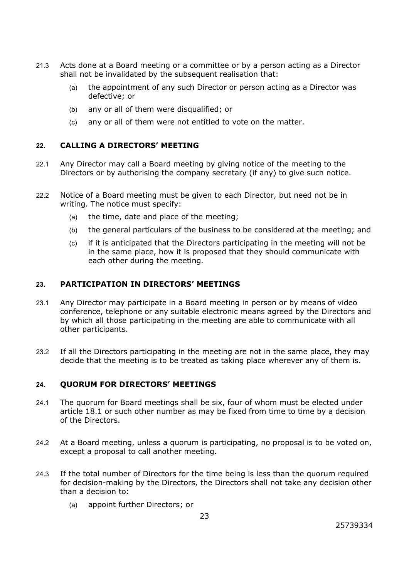- 21.3 Acts done at a Board meeting or a committee or by a person acting as a Director shall not be invalidated by the subsequent realisation that:
	- (a) the appointment of any such Director or person acting as a Director was defective; or
	- (b) any or all of them were disqualified; or
	- (c) any or all of them were not entitled to vote on the matter.

# **22. CALLING A DIRECTORS' MEETING**

- 22.1 Any Director may call a Board meeting by giving notice of the meeting to the Directors or by authorising the company secretary (if any) to give such notice.
- 22.2 Notice of a Board meeting must be given to each Director, but need not be in writing. The notice must specify:
	- (a) the time, date and place of the meeting;
	- (b) the general particulars of the business to be considered at the meeting; and
	- (c) if it is anticipated that the Directors participating in the meeting will not be in the same place, how it is proposed that they should communicate with each other during the meeting.

### **23. PARTICIPATION IN DIRECTORS' MEETINGS**

- 23.1 Any Director may participate in a Board meeting in person or by means of video conference, telephone or any suitable electronic means agreed by the Directors and by which all those participating in the meeting are able to communicate with all other participants.
- 23.2 If all the Directors participating in the meeting are not in the same place, they may decide that the meeting is to be treated as taking place wherever any of them is.

### **24. QUORUM FOR DIRECTORS' MEETINGS**

- 24.1 The quorum for Board meetings shall be six, four of whom must be elected under article 18.1 or such other number as may be fixed from time to time by a decision of the Directors.
- 24.2 At a Board meeting, unless a quorum is participating, no proposal is to be voted on, except a proposal to call another meeting.
- 24.3 If the total number of Directors for the time being is less than the quorum required for decision-making by the Directors, the Directors shall not take any decision other than a decision to:
	- (a) appoint further Directors; or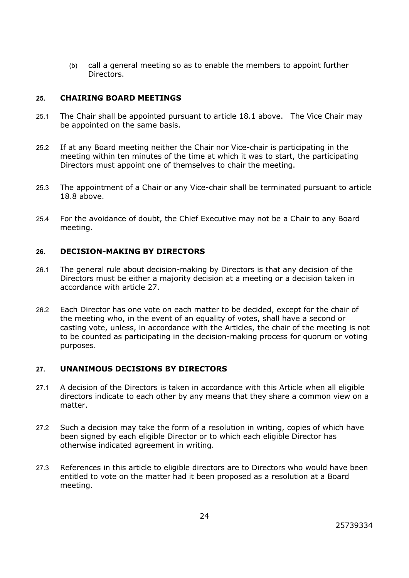(b) call a general meeting so as to enable the members to appoint further Directors.

### **25. CHAIRING BOARD MEETINGS**

- 25.1 The Chair shall be appointed pursuant to article 18.1 above. The Vice Chair may be appointed on the same basis.
- 25.2 If at any Board meeting neither the Chair nor Vice-chair is participating in the meeting within ten minutes of the time at which it was to start, the participating Directors must appoint one of themselves to chair the meeting.
- 25.3 The appointment of a Chair or any Vice-chair shall be terminated pursuant to article 18.8 above.
- 25.4 For the avoidance of doubt, the Chief Executive may not be a Chair to any Board meeting.

# **26. DECISION-MAKING BY DIRECTORS**

- 26.1 The general rule about decision-making by Directors is that any decision of the Directors must be either a majority decision at a meeting or a decision taken in accordance with article 27.
- 26.2 Each Director has one vote on each matter to be decided, except for the chair of the meeting who, in the event of an equality of votes, shall have a second or casting vote, unless, in accordance with the Articles, the chair of the meeting is not to be counted as participating in the decision-making process for quorum or voting purposes.

# **27. UNANIMOUS DECISIONS BY DIRECTORS**

- 27.1 A decision of the Directors is taken in accordance with this Article when all eligible directors indicate to each other by any means that they share a common view on a matter.
- 27.2 Such a decision may take the form of a resolution in writing, copies of which have been signed by each eligible Director or to which each eligible Director has otherwise indicated agreement in writing.
- 27.3 References in this article to eligible directors are to Directors who would have been entitled to vote on the matter had it been proposed as a resolution at a Board meeting.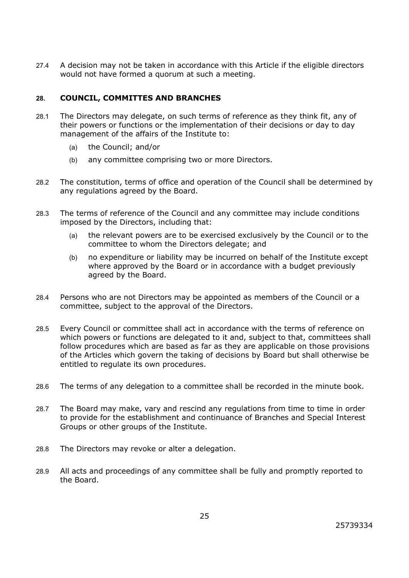27.4 A decision may not be taken in accordance with this Article if the eligible directors would not have formed a quorum at such a meeting.

# **28. COUNCIL, COMMITTES AND BRANCHES**

- 28.1 The Directors may delegate, on such terms of reference as they think fit, any of their powers or functions or the implementation of their decisions or day to day management of the affairs of the Institute to:
	- (a) the Council; and/or
	- (b) any committee comprising two or more Directors.
- 28.2 The constitution, terms of office and operation of the Council shall be determined by any regulations agreed by the Board.
- 28.3 The terms of reference of the Council and any committee may include conditions imposed by the Directors, including that:
	- (a) the relevant powers are to be exercised exclusively by the Council or to the committee to whom the Directors delegate; and
	- (b) no expenditure or liability may be incurred on behalf of the Institute except where approved by the Board or in accordance with a budget previously agreed by the Board.
- 28.4 Persons who are not Directors may be appointed as members of the Council or a committee, subject to the approval of the Directors.
- 28.5 Every Council or committee shall act in accordance with the terms of reference on which powers or functions are delegated to it and, subject to that, committees shall follow procedures which are based as far as they are applicable on those provisions of the Articles which govern the taking of decisions by Board but shall otherwise be entitled to regulate its own procedures.
- 28.6 The terms of any delegation to a committee shall be recorded in the minute book.
- 28.7 The Board may make, vary and rescind any regulations from time to time in order to provide for the establishment and continuance of Branches and Special Interest Groups or other groups of the Institute.
- 28.8 The Directors may revoke or alter a delegation.
- 28.9 All acts and proceedings of any committee shall be fully and promptly reported to the Board.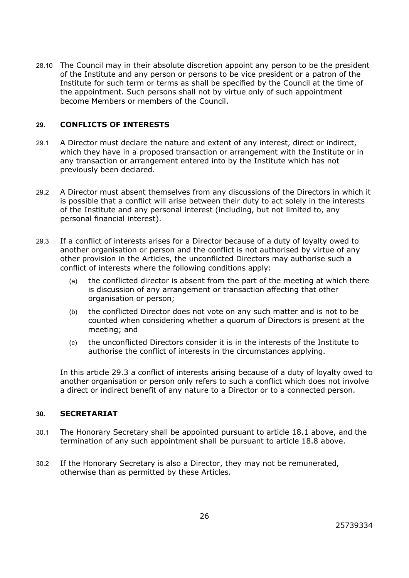28.10 The Council may in their absolute discretion appoint any person to be the president of the Institute and any person or persons to be vice president or a patron of the Institute for such term or terms as shall be specified by the Council at the time of the appointment. Such persons shall not by virtue only of such appointment become Members or members of the Council.

# **29. CONFLICTS OF INTERESTS**

- 29.1 A Director must declare the nature and extent of any interest, direct or indirect, which they have in a proposed transaction or arrangement with the Institute or in any transaction or arrangement entered into by the Institute which has not previously been declared.
- 29.2 A Director must absent themselves from any discussions of the Directors in which it is possible that a conflict will arise between their duty to act solely in the interests of the Institute and any personal interest (including, but not limited to, any personal financial interest).
- 29.3 If a conflict of interests arises for a Director because of a duty of loyalty owed to another organisation or person and the conflict is not authorised by virtue of any other provision in the Articles, the unconflicted Directors may authorise such a conflict of interests where the following conditions apply:
	- (a) the conflicted director is absent from the part of the meeting at which there is discussion of any arrangement or transaction affecting that other organisation or person;
	- (b) the conflicted Director does not vote on any such matter and is not to be counted when considering whether a quorum of Directors is present at the meeting; and
	- (c) the unconflicted Directors consider it is in the interests of the Institute to authorise the conflict of interests in the circumstances applying.

In this article 29.3 a conflict of interests arising because of a duty of loyalty owed to another organisation or person only refers to such a conflict which does not involve a direct or indirect benefit of any nature to a Director or to a connected person.

### **30. SECRETARIAT**

- 30.1 The Honorary Secretary shall be appointed pursuant to article 18.1 above, and the termination of any such appointment shall be pursuant to article 18.8 above.
- 30.2 If the Honorary Secretary is also a Director, they may not be remunerated, otherwise than as permitted by these Articles.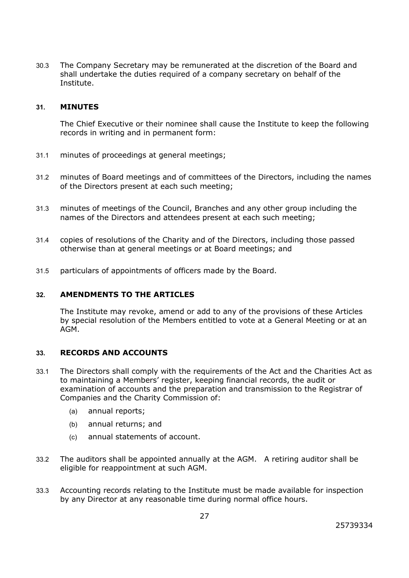30.3 The Company Secretary may be remunerated at the discretion of the Board and shall undertake the duties required of a company secretary on behalf of the Institute.

#### **31. MINUTES**

The Chief Executive or their nominee shall cause the Institute to keep the following records in writing and in permanent form:

- 31.1 minutes of proceedings at general meetings;
- 31.2 minutes of Board meetings and of committees of the Directors, including the names of the Directors present at each such meeting;
- 31.3 minutes of meetings of the Council, Branches and any other group including the names of the Directors and attendees present at each such meeting;
- 31.4 copies of resolutions of the Charity and of the Directors, including those passed otherwise than at general meetings or at Board meetings; and
- 31.5 particulars of appointments of officers made by the Board.

### **32. AMENDMENTS TO THE ARTICLES**

The Institute may revoke, amend or add to any of the provisions of these Articles by special resolution of the Members entitled to vote at a General Meeting or at an AGM.

### **33. RECORDS AND ACCOUNTS**

- 33.1 The Directors shall comply with the requirements of the Act and the Charities Act as to maintaining a Members' register, keeping financial records, the audit or examination of accounts and the preparation and transmission to the Registrar of Companies and the Charity Commission of:
	- (a) annual reports;
	- (b) annual returns; and
	- (c) annual statements of account.
- 33.2 The auditors shall be appointed annually at the AGM. A retiring auditor shall be eligible for reappointment at such AGM.
- 33.3 Accounting records relating to the Institute must be made available for inspection by any Director at any reasonable time during normal office hours.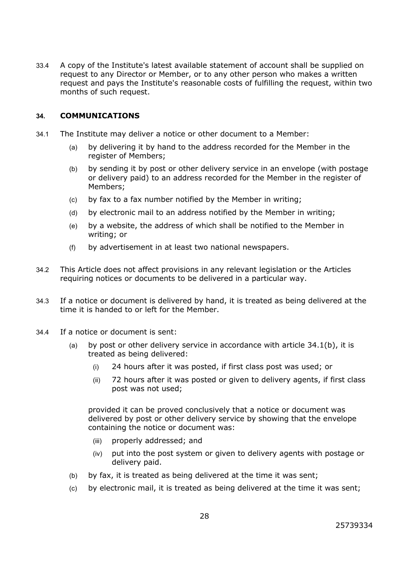33.4 A copy of the Institute's latest available statement of account shall be supplied on request to any Director or Member, or to any other person who makes a written request and pays the Institute's reasonable costs of fulfilling the request, within two months of such request.

### **34. COMMUNICATIONS**

- 34.1 The Institute may deliver a notice or other document to a Member:
	- (a) by delivering it by hand to the address recorded for the Member in the register of Members;
	- (b) by sending it by post or other delivery service in an envelope (with postage or delivery paid) to an address recorded for the Member in the register of Members;
	- (c) by fax to a fax number notified by the Member in writing;
	- (d) by electronic mail to an address notified by the Member in writing;
	- (e) by a website, the address of which shall be notified to the Member in writing; or
	- (f) by advertisement in at least two national newspapers.
- 34.2 This Article does not affect provisions in any relevant legislation or the Articles requiring notices or documents to be delivered in a particular way.
- 34.3 If a notice or document is delivered by hand, it is treated as being delivered at the time it is handed to or left for the Member.
- 34.4 If a notice or document is sent:
	- (a) by post or other delivery service in accordance with article  $34.1(b)$ , it is treated as being delivered:
		- (i) 24 hours after it was posted, if first class post was used; or
		- (ii) 72 hours after it was posted or given to delivery agents, if first class post was not used;

provided it can be proved conclusively that a notice or document was delivered by post or other delivery service by showing that the envelope containing the notice or document was:

- (iii) properly addressed; and
- (iv) put into the post system or given to delivery agents with postage or delivery paid.
- (b) by fax, it is treated as being delivered at the time it was sent;
- (c) by electronic mail, it is treated as being delivered at the time it was sent;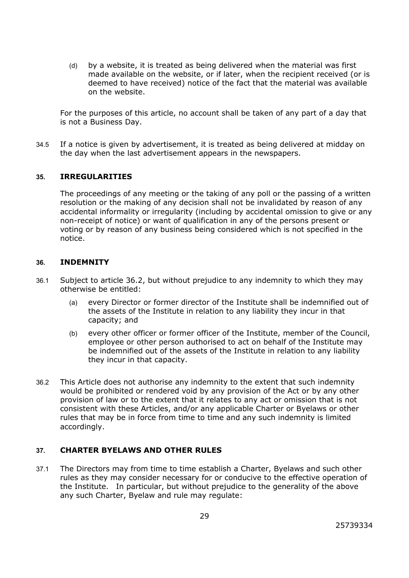(d) by a website, it is treated as being delivered when the material was first made available on the website, or if later, when the recipient received (or is deemed to have received) notice of the fact that the material was available on the website.

For the purposes of this article, no account shall be taken of any part of a day that is not a Business Day.

34.5 If a notice is given by advertisement, it is treated as being delivered at midday on the day when the last advertisement appears in the newspapers.

### **35. IRREGULARITIES**

The proceedings of any meeting or the taking of any poll or the passing of a written resolution or the making of any decision shall not be invalidated by reason of any accidental informality or irregularity (including by accidental omission to give or any non-receipt of notice) or want of qualification in any of the persons present or voting or by reason of any business being considered which is not specified in the notice.

#### **36. INDEMNITY**

- 36.1 Subject to article 36.2, but without prejudice to any indemnity to which they may otherwise be entitled:
	- (a) every Director or former director of the Institute shall be indemnified out of the assets of the Institute in relation to any liability they incur in that capacity; and
	- (b) every other officer or former officer of the Institute, member of the Council, employee or other person authorised to act on behalf of the Institute may be indemnified out of the assets of the Institute in relation to any liability they incur in that capacity.
- 36.2 This Article does not authorise any indemnity to the extent that such indemnity would be prohibited or rendered void by any provision of the Act or by any other provision of law or to the extent that it relates to any act or omission that is not consistent with these Articles, and/or any applicable Charter or Byelaws or other rules that may be in force from time to time and any such indemnity is limited accordingly.

# **37. CHARTER BYELAWS AND OTHER RULES**

37.1 The Directors may from time to time establish a Charter, Byelaws and such other rules as they may consider necessary for or conducive to the effective operation of the Institute. In particular, but without prejudice to the generality of the above any such Charter, Byelaw and rule may regulate: